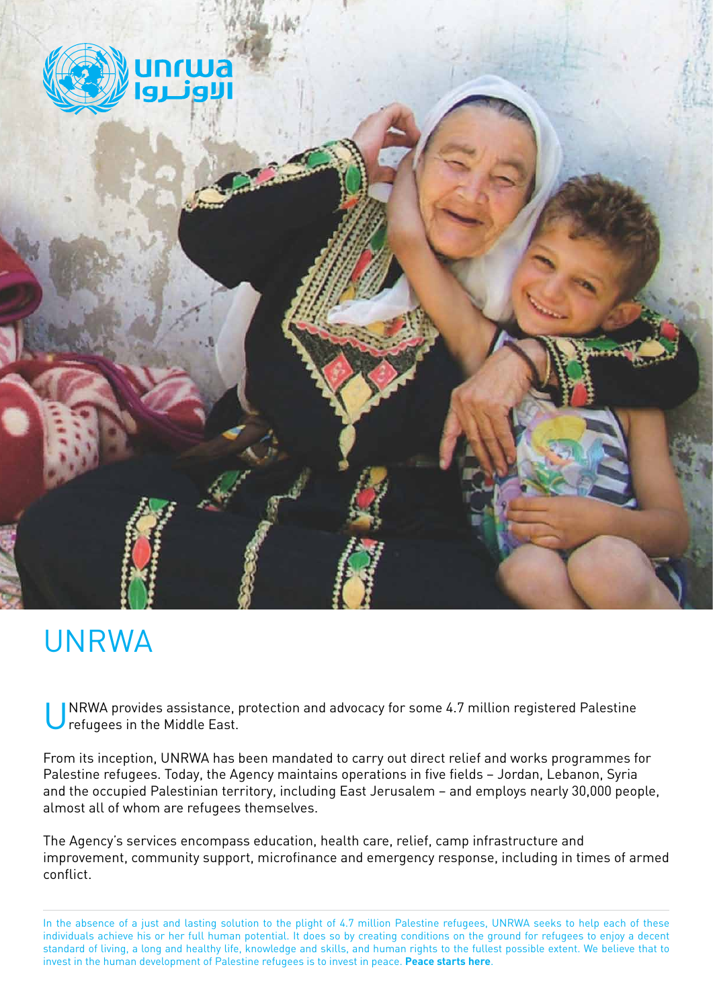

# UNRWA

NRWA provides assistance, protection and advocacy for some 4.7 million registered Palestine refugees in the Middle East.

From its inception, UNRWA has been mandated to carry out direct relief and works programmes for Palestine refugees. Today, the Agency maintains operations in five fields – Jordan, Lebanon, Syria and the occupied Palestinian territory, including East Jerusalem – and employs nearly 30,000 people, almost all of whom are refugees themselves.

The Agency's services encompass education, health care, relief, camp infrastructure and improvement, community support, microfinance and emergency response, including in times of armed conflict.

In the absence of a just and lasting solution to the plight of 4.7 million Palestine refugees, UNRWA seeks to help each of these individuals achieve his or her full human potential. It does so by creating conditions on the ground for refugees to enjoy a decent standard of living, a long and healthy life, knowledge and skills, and human rights to the fullest possible extent. We believe that to invest in the human development of Palestine refugees is to invest in peace. **Peace starts here**.